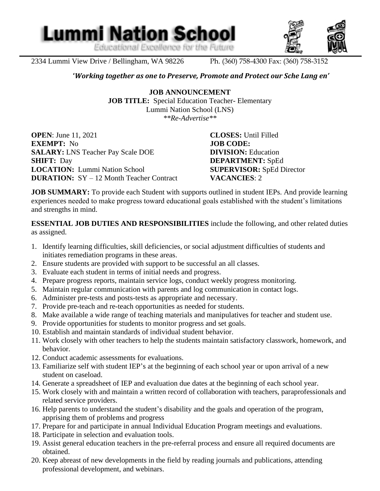Educational Excellence for the Future

**Lummi Nation School** 



2334 Lummi View Drive / Bellingham, WA 98226 Ph. (360) 758-4300 Fax: (360) 758-3152

l

#### **'***Working together as one to Preserve, Promote and Protect our Sche Lang en'*

**JOB ANNOUNCEMENT JOB TITLE:** Special Education Teacher- Elementary Lummi Nation School (LNS) *\*\*Re-Advertise\*\**

**OPEN**: June 11, 2021 **CLOSES:** Until Filled **EXEMPT:** No **JOB CODE: SALARY:** LNS Teacher Pay Scale DOE **DIVISION:** Education **SHIFT:** Day **DEPARTMENT:** SpEd **LOCATION:** Lummi Nation School **SUPERVISOR:** SpEd Director **DURATION:** SY – 12 Month Teacher Contract **VACANCIES**: 2

**JOB SUMMARY:** To provide each Student with supports outlined in student IEPs. And provide learning experiences needed to make progress toward educational goals established with the student's limitations and strengths in mind.

**ESSENTIAL JOB DUTIES AND RESPONSIBILITIES** include the following, and other related duties as assigned.

- 1. Identify learning difficulties, skill deficiencies, or social adjustment difficulties of students and initiates remediation programs in these areas.
- 2. Ensure students are provided with support to be successful an all classes.
- 3. Evaluate each student in terms of initial needs and progress.
- 4. Prepare progress reports, maintain service logs, conduct weekly progress monitoring.
- 5. Maintain regular communication with parents and log communication in contact logs.
- 6. Administer pre-tests and posts-tests as appropriate and necessary.
- 7. Provide pre-teach and re-teach opportunities as needed for students.
- 8. Make available a wide range of teaching materials and manipulatives for teacher and student use.
- 9. Provide opportunities for students to monitor progress and set goals.
- 10. Establish and maintain standards of individual student behavior.
- 11. Work closely with other teachers to help the students maintain satisfactory classwork, homework, and behavior.
- 12. Conduct academic assessments for evaluations.
- 13. Familiarize self with student IEP's at the beginning of each school year or upon arrival of a new student on caseload.
- 14. Generate a spreadsheet of IEP and evaluation due dates at the beginning of each school year.
- 15. Work closely with and maintain a written record of collaboration with teachers, paraprofessionals and related service providers.
- 16. Help parents to understand the student's disability and the goals and operation of the program, apprising them of problems and progress
- 17. Prepare for and participate in annual Individual Education Program meetings and evaluations.
- 18. Participate in selection and evaluation tools.
- 19. Assist general education teachers in the pre-referral process and ensure all required documents are obtained.
- 20. Keep abreast of new developments in the field by reading journals and publications, attending professional development, and webinars.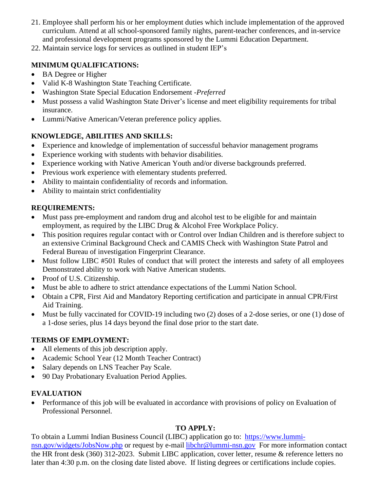- 21. Employee shall perform his or her employment duties which include implementation of the approved curriculum. Attend at all school-sponsored family nights, parent-teacher conferences, and in-service and professional development programs sponsored by the Lummi Education Department.
- 22. Maintain service logs for services as outlined in student IEP's

## **MINIMUM QUALIFICATIONS:**

- BA Degree or Higher
- Valid K-8 Washington State Teaching Certificate.
- Washington State Special Education Endorsement *-Preferred*
- Must possess a valid Washington State Driver's license and meet eligibility requirements for tribal insurance.
- Lummi/Native American/Veteran preference policy applies.

## **KNOWLEDGE, ABILITIES AND SKILLS:**

- Experience and knowledge of implementation of successful behavior management programs
- Experience working with students with behavior disabilities.
- Experience working with Native American Youth and/or diverse backgrounds preferred.
- Previous work experience with elementary students preferred.
- Ability to maintain confidentiality of records and information.
- Ability to maintain strict confidentiality

## **REQUIREMENTS:**

- Must pass pre-employment and random drug and alcohol test to be eligible for and maintain employment, as required by the LIBC Drug & Alcohol Free Workplace Policy.
- This position requires regular contact with or Control over Indian Children and is therefore subject to an extensive Criminal Background Check and CAMIS Check with Washington State Patrol and Federal Bureau of investigation Fingerprint Clearance.
- Must follow LIBC #501 Rules of conduct that will protect the interests and safety of all employees Demonstrated ability to work with Native American students.
- Proof of U.S. Citizenship.
- Must be able to adhere to strict attendance expectations of the Lummi Nation School.
- Obtain a CPR, First Aid and Mandatory Reporting certification and participate in annual CPR/First Aid Training.
- Must be fully vaccinated for COVID-19 including two (2) doses of a 2-dose series, or one (1) dose of a 1-dose series, plus 14 days beyond the final dose prior to the start date.

## **TERMS OF EMPLOYMENT:**

- All elements of this job description apply.
- Academic School Year (12 Month Teacher Contract)
- Salary depends on LNS Teacher Pay Scale.
- 90 Day Probationary Evaluation Period Applies.

## **EVALUATION**

• Performance of this job will be evaluated in accordance with provisions of policy on Evaluation of Professional Personnel.

# **TO APPLY:**

To obtain a Lummi Indian Business Council (LIBC) application go to: [https://www.lummi](https://www.lummi-nsn.gov/widgets/JobsNow.php)[nsn.gov/widgets/JobsNow.php](https://www.lummi-nsn.gov/widgets/JobsNow.php) or request by e-mail [libchr@lummi-nsn.gov](mailto:libchr@lummi-nsn.gov) For more information contact the HR front desk (360) 312-2023. Submit LIBC application, cover letter, resume & reference letters no later than 4:30 p.m. on the closing date listed above. If listing degrees or certifications include copies.